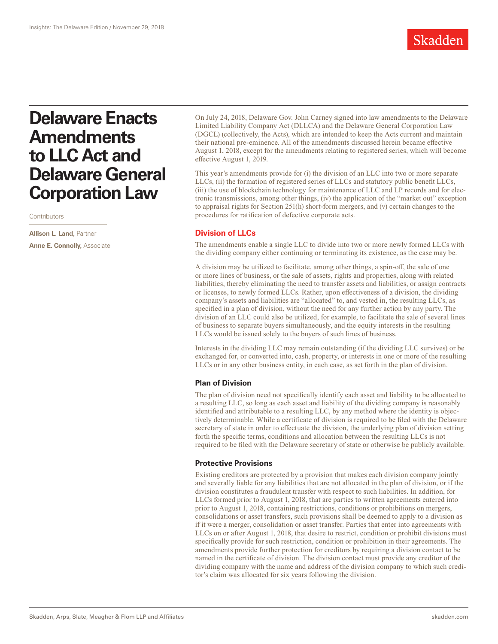

# **Delaware Enacts Amendments to LLC Act and Delaware General Corporation Law**

**Contributors** 

**Allison L. Land,** Partner **Anne E. Connolly,** Associate

On July 24, 2018, Delaware Gov. John Carney signed into law amendments to the Delaware Limited Liability Company Act (DLLCA) and the Delaware General Corporation Law (DGCL) (collectively, the Acts), which are intended to keep the Acts current and maintain their national pre-eminence. All of the amendments discussed herein became effective August 1, 2018, except for the amendments relating to registered series, which will become effective August 1, 2019.

This year's amendments provide for (i) the division of an LLC into two or more separate LLCs, (ii) the formation of registered series of LLCs and statutory public benefit LLCs, (iii) the use of blockchain technology for maintenance of LLC and LP records and for electronic transmissions, among other things, (iv) the application of the "market out" exception to appraisal rights for Section 251(h) short-form mergers, and (v) certain changes to the procedures for ratification of defective corporate acts.

# **Division of LLCs**

The amendments enable a single LLC to divide into two or more newly formed LLCs with the dividing company either continuing or terminating its existence, as the case may be.

A division may be utilized to facilitate, among other things, a spin-off, the sale of one or more lines of business, or the sale of assets, rights and properties, along with related liabilities, thereby eliminating the need to transfer assets and liabilities, or assign contracts or licenses, to newly formed LLCs. Rather, upon effectiveness of a division, the dividing company's assets and liabilities are "allocated" to, and vested in, the resulting LLCs, as specified in a plan of division, without the need for any further action by any party. The division of an LLC could also be utilized, for example, to facilitate the sale of several lines of business to separate buyers simultaneously, and the equity interests in the resulting LLCs would be issued solely to the buyers of such lines of business.

Interests in the dividing LLC may remain outstanding (if the dividing LLC survives) or be exchanged for, or converted into, cash, property, or interests in one or more of the resulting LLCs or in any other business entity, in each case, as set forth in the plan of division.

## **Plan of Division**

The plan of division need not specifically identify each asset and liability to be allocated to a resulting LLC, so long as each asset and liability of the dividing company is reasonably identified and attributable to a resulting LLC, by any method where the identity is objectively determinable. While a certificate of division is required to be filed with the Delaware secretary of state in order to effectuate the division, the underlying plan of division setting forth the specific terms, conditions and allocation between the resulting LLCs is not required to be filed with the Delaware secretary of state or otherwise be publicly available.

## **Protective Provisions**

Existing creditors are protected by a provision that makes each division company jointly and severally liable for any liabilities that are not allocated in the plan of division, or if the division constitutes a fraudulent transfer with respect to such liabilities. In addition, for LLCs formed prior to August 1, 2018, that are parties to written agreements entered into prior to August 1, 2018, containing restrictions, conditions or prohibitions on mergers, consolidations or asset transfers, such provisions shall be deemed to apply to a division as if it were a merger, consolidation or asset transfer. Parties that enter into agreements with LLCs on or after August 1, 2018, that desire to restrict, condition or prohibit divisions must specifically provide for such restriction, condition or prohibition in their agreements. The amendments provide further protection for creditors by requiring a division contact to be named in the certificate of division. The division contact must provide any creditor of the dividing company with the name and address of the division company to which such creditor's claim was allocated for six years following the division.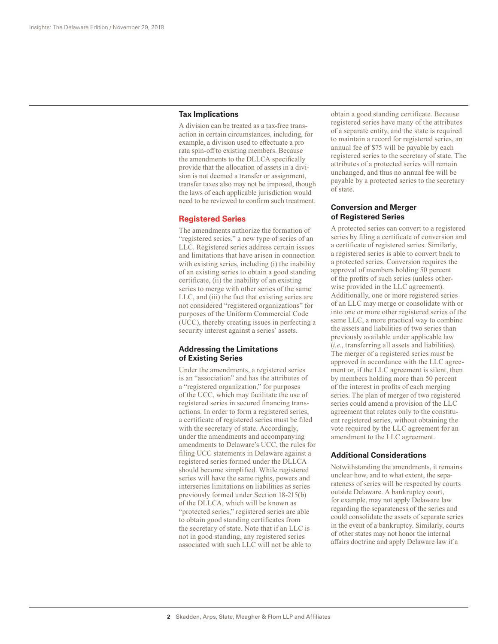#### **Tax Implications**

A division can be treated as a tax-free transaction in certain circumstances, including, for example, a division used to effectuate a pro rata spin-off to existing members. Because the amendments to the DLLCA specifically provide that the allocation of assets in a division is not deemed a transfer or assignment, transfer taxes also may not be imposed, though the laws of each applicable jurisdiction would need to be reviewed to confirm such treatment.

#### **Registered Series**

The amendments authorize the formation of "registered series," a new type of series of an LLC. Registered series address certain issues and limitations that have arisen in connection with existing series, including (i) the inability of an existing series to obtain a good standing certificate, (ii) the inability of an existing series to merge with other series of the same LLC, and (iii) the fact that existing series are not considered "registered organizations" for purposes of the Uniform Commercial Code (UCC), thereby creating issues in perfecting a security interest against a series' assets.

## **Addressing the Limitations of Existing Series**

Under the amendments, a registered series is an "association" and has the attributes of a "registered organization," for purposes of the UCC, which may facilitate the use of registered series in secured financing transactions. In order to form a registered series, a certificate of registered series must be filed with the secretary of state. Accordingly, under the amendments and accompanying amendments to Delaware's UCC, the rules for filing UCC statements in Delaware against a registered series formed under the DLLCA should become simplified. While registered series will have the same rights, powers and interseries limitations on liabilities as series previously formed under Section 18-215(b) of the DLLCA, which will be known as "protected series," registered series are able to obtain good standing certificates from the secretary of state. Note that if an LLC is not in good standing, any registered series associated with such LLC will not be able to

obtain a good standing certificate. Because registered series have many of the attributes of a separate entity, and the state is required to maintain a record for registered series, an annual fee of \$75 will be payable by each registered series to the secretary of state. The attributes of a protected series will remain unchanged, and thus no annual fee will be payable by a protected series to the secretary of state.

# **Conversion and Merger of Registered Series**

A protected series can convert to a registered series by filing a certificate of conversion and a certificate of registered series. Similarly, a registered series is able to convert back to a protected series. Conversion requires the approval of members holding 50 percent of the profits of such series (unless otherwise provided in the LLC agreement). Additionally, one or more registered series of an LLC may merge or consolidate with or into one or more other registered series of the same LLC, a more practical way to combine the assets and liabilities of two series than previously available under applicable law (*i.e.*, transferring all assets and liabilities). The merger of a registered series must be approved in accordance with the LLC agreement or, if the LLC agreement is silent, then by members holding more than 50 percent of the interest in profits of each merging series. The plan of merger of two registered series could amend a provision of the LLC agreement that relates only to the constituent registered series, without obtaining the vote required by the LLC agreement for an amendment to the LLC agreement.

## **Additional Considerations**

Notwithstanding the amendments, it remains unclear how, and to what extent, the separateness of series will be respected by courts outside Delaware. A bankruptcy court, for example, may not apply Delaware law regarding the separateness of the series and could consolidate the assets of separate series in the event of a bankruptcy. Similarly, courts of other states may not honor the internal affairs doctrine and apply Delaware law if a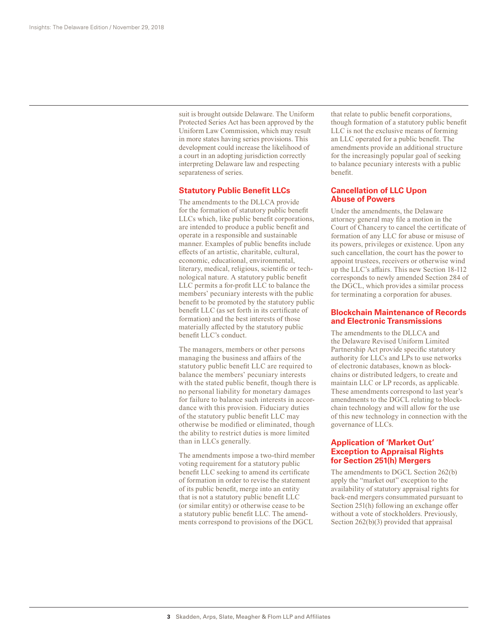suit is brought outside Delaware. The Uniform Protected Series Act has been approved by the Uniform Law Commission, which may result in more states having series provisions. This development could increase the likelihood of a court in an adopting jurisdiction correctly interpreting Delaware law and respecting separateness of series.

## **Statutory Public Benefit LLCs**

The amendments to the DLLCA provide for the formation of statutory public benefit LLCs which, like public benefit corporations, are intended to produce a public benefit and operate in a responsible and sustainable manner. Examples of public benefits include effects of an artistic, charitable, cultural, economic, educational, environmental, literary, medical, religious, scientific or technological nature. A statutory public benefit LLC permits a for-profit LLC to balance the members' pecuniary interests with the public benefit to be promoted by the statutory public benefit LLC (as set forth in its certificate of formation) and the best interests of those materially affected by the statutory public benefit LLC's conduct.

The managers, members or other persons managing the business and affairs of the statutory public benefit LLC are required to balance the members' pecuniary interests with the stated public benefit, though there is no personal liability for monetary damages for failure to balance such interests in accordance with this provision. Fiduciary duties of the statutory public benefit LLC may otherwise be modified or eliminated, though the ability to restrict duties is more limited than in LLCs generally.

The amendments impose a two-third member voting requirement for a statutory public benefit LLC seeking to amend its certificate of formation in order to revise the statement of its public benefit, merge into an entity that is not a statutory public benefit LLC (or similar entity) or otherwise cease to be a statutory public benefit LLC. The amendments correspond to provisions of the DGCL

that relate to public benefit corporations, though formation of a statutory public benefit LLC is not the exclusive means of forming an LLC operated for a public benefit. The amendments provide an additional structure for the increasingly popular goal of seeking to balance pecuniary interests with a public benefit.

# **Cancellation of LLC Upon Abuse of Powers**

Under the amendments, the Delaware attorney general may file a motion in the Court of Chancery to cancel the certificate of formation of any LLC for abuse or misuse of its powers, privileges or existence. Upon any such cancellation, the court has the power to appoint trustees, receivers or otherwise wind up the LLC's affairs. This new Section 18-112 corresponds to newly amended Section 284 of the DGCL, which provides a similar process for terminating a corporation for abuses.

#### **Blockchain Maintenance of Records and Electronic Transmissions**

The amendments to the DLLCA and the Delaware Revised Uniform Limited Partnership Act provide specific statutory authority for LLCs and LPs to use networks of electronic databases, known as blockchains or distributed ledgers, to create and maintain LLC or LP records, as applicable. These amendments correspond to last year's amendments to the DGCL relating to blockchain technology and will allow for the use of this new technology in connection with the governance of LLCs.

# **Application of 'Market Out' Exception to Appraisal Rights for Section 251(h) Mergers**

The amendments to DGCL Section 262(b) apply the "market out" exception to the availability of statutory appraisal rights for back-end mergers consummated pursuant to Section 251(h) following an exchange offer without a vote of stockholders. Previously, Section 262(b)(3) provided that appraisal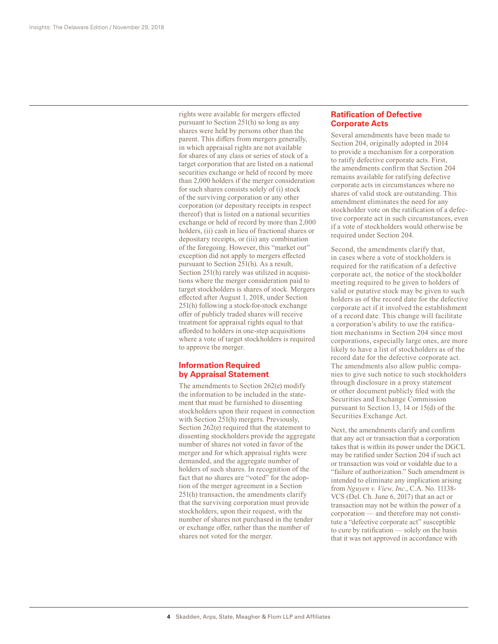rights were available for mergers effected pursuant to Section 251(h) so long as any shares were held by persons other than the parent. This differs from mergers generally, in which appraisal rights are not available for shares of any class or series of stock of a target corporation that are listed on a national securities exchange or held of record by more than 2,000 holders if the merger consideration for such shares consists solely of (i) stock of the surviving corporation or any other corporation (or depositary receipts in respect thereof) that is listed on a national securities exchange or held of record by more than 2,000 holders, (ii) cash in lieu of fractional shares or depositary receipts, or (iii) any combination of the foregoing. However, this "market out" exception did not apply to mergers effected pursuant to Section 251(h). As a result, Section 251(h) rarely was utilized in acquisitions where the merger consideration paid to target stockholders is shares of stock. Mergers effected after August 1, 2018, under Section 251(h) following a stock-for-stock exchange offer of publicly traded shares will receive treatment for appraisal rights equal to that afforded to holders in one-step acquisitions where a vote of target stockholders is required to approve the merger.

# **Information Required by Appraisal Statement**

The amendments to Section 262(e) modify the information to be included in the statement that must be furnished to dissenting stockholders upon their request in connection with Section 251(h) mergers. Previously, Section 262(e) required that the statement to dissenting stockholders provide the aggregate number of shares not voted in favor of the merger and for which appraisal rights were demanded, and the aggregate number of holders of such shares. In recognition of the fact that no shares are "voted" for the adoption of the merger agreement in a Section 251(h) transaction, the amendments clarify that the surviving corporation must provide stockholders, upon their request, with the number of shares not purchased in the tender or exchange offer, rather than the number of shares not voted for the merger.

## **Ratification of Defective Corporate Acts**

Several amendments have been made to Section 204, originally adopted in 2014 to provide a mechanism for a corporation to ratify defective corporate acts. First, the amendments confirm that Section 204 remains available for ratifying defective corporate acts in circumstances where no shares of valid stock are outstanding. This amendment eliminates the need for any stockholder vote on the ratification of a defective corporate act in such circumstances, even if a vote of stockholders would otherwise be required under Section 204.

Second, the amendments clarify that, in cases where a vote of stockholders is required for the ratification of a defective corporate act, the notice of the stockholder meeting required to be given to holders of valid or putative stock may be given to such holders as of the record date for the defective corporate act if it involved the establishment of a record date. This change will facilitate a corporation's ability to use the ratification mechanisms in Section 204 since most corporations, especially large ones, are more likely to have a list of stockholders as of the record date for the defective corporate act. The amendments also allow public companies to give such notice to such stockholders through disclosure in a proxy statement or other document publicly filed with the Securities and Exchange Commission pursuant to Section 13, 14 or 15(d) of the Securities Exchange Act.

Next, the amendments clarify and confirm that any act or transaction that a corporation takes that is within its power under the DGCL may be ratified under Section 204 if such act or transaction was void or voidable due to a "failure of authorization." Such amendment is intended to eliminate any implication arising from *Nguyen v. View, Inc*., C.A. No. 11138- VCS (Del. Ch. June 6, 2017) that an act or transaction may not be within the power of a corporation — and therefore may not constitute a "defective corporate act" susceptible to cure by ratification — solely on the basis that it was not approved in accordance with